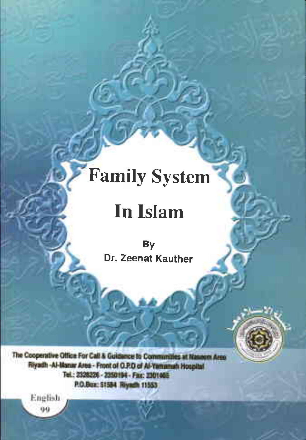# Family System

## In Islam

By Dr. Zeenat Kauther

 $\mathcal{A} \cup \mathcal{B}$  . In the set

The Cooperative Office For Call & Goldance to Communities at Nasasm Area **Fel.: 2528224 - 2350194 - Fax: .201465**<br>P.O.Bux: 51584 - Rayanh 11553<br>90<br>90

I . - - -

 $-$  -  $\sim$   $\sim$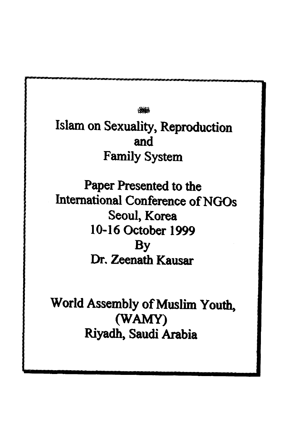#s

Islam on Sexuality, Reproduction and and Family System Family System - Reproduction

Paper Presented to the Paper Presented to the International Conference of NGOs International Conference ofNGOs Seoul, Korea Seoul) Korea 10-16 October 1999 10-16 October 1999 By By Dr. Zeenath Kausar Dr. Zeenath Kausar

World Assembly of Muslim Youth, (WAMY) Riyadh, Saudi Arabia Riyadh) Saudi Arabia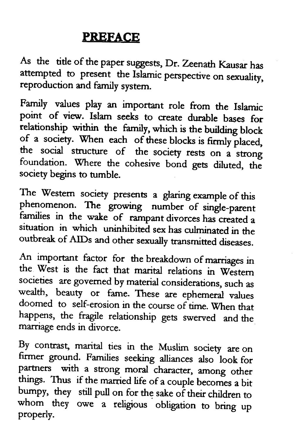### PREFACE **PREFACE**

As the tide of the paper sugests, Dr. Zeenath Kausar has As the title ofthe paper suggests, Dr. Zeenath Kausar has attempted to present the Islamic perspective on sexuality, reproduction and family system. reproduction and family system.

Family values play an important role from the Islamic point of view. Islam seeks to create durable bases for point of view. Islam seeks to create durable bases for relationship within the familr, which is the building block relationship within the family, which is the building block of a society. When each of these blocks is firmly placed,<br>the social structure of the society with the social structure of the society rests on a strong foundation. Where the cohesive bond gets diluted, the society begins to nrmble society begins to tumble.

The Western society presents a glaring example of this phenomenon. The growing number of single-parent families in the wake of rampant divorces has created a<br>situation in which uninhibited sex has militared in the situation in which uninhibited sex has culminated in the outbreak of ArDs and other sexually transmitted diseases. outbreak of AIDs and other sexually transmitted diseases.

An important factor for the breakdown of marriages in the West is the fact that marital relations in Western societies are govemed by material considerations, such as societies are governed by material considerations, such as wealth, beauty or fame. These are ephemeral values doomed to self-erosion in the course of time. When that happens, the fragile relationship gets swerved and the happens, the fragile relationship gets swerved and the marriage ends in divorce marriage ends in divorce.

By contrast, marital ties in the Muslim society are on<br>firmer ground. Families seeking alliances also look for partners with a strong moral character, among other things. Thus if the married life of a couple becomes a bit bumpy, they still pull on for the sake of their children to whom they owe a religious obligation to bring up properly. properly. By contrast, marital ties in the Muslim society are on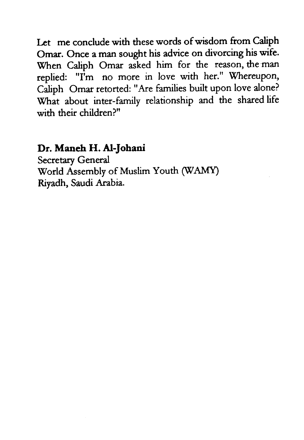Let me conclude with these words of wisdom from Caliph Omar. Once a man sought his advice on divorcing his wife. Omar. Once a man sought his advice on divorcing his wife. When Cdiph Omar asked him for the reason, the man When Caliph Omar asked him for the reason, the man replied: "I'm no more in love with her." Whereupon, replied: "I'm no more in love with her." Whereupon, Caliph Omar retorted: "Are families built upon love alone? Caliph Omar retorted: "Are families built upon love alone? \X/hat about inter-family relationship and the shared life What about inter-family relationship and the shared life with their children?" with their children?"

## Dr. M<mark>aneh H. Al-Johani</mark><br>Secretary General

Secretary General World Assembly of Muslim Youth (WAMY) Riyadh, Saudi Arabia.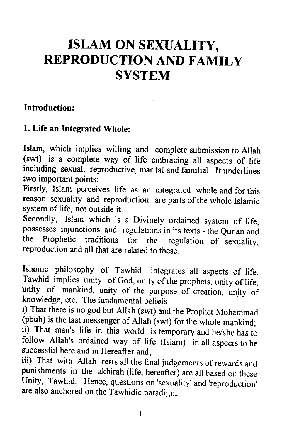### ISLAM ON SEXUALITY, **ISLAM ON SEXUALITY,** REPRODUCTION AND FAMILY **REPRODUCTION AND FAMILY** SYSTEM **SYSTEM**

#### Introduction: **Introduction:**

#### 1. Life an Integrated Whole: **1. Life an Integrated Whole:**

Islam, which implies willing and complete submission to Allah Islam, which implies willing and complete submission to Allah (swt) is a complete way of life embracing all aspects of life including sexual, reproductive, marital and familial. It underlines including sexual, reproductive, marital and familial. It underlines two important points: two important points:

Firstly, Islam perceives life as an integrated whole and for this Firstly, Islam perceives life as an integrated whole and for this reason sexuality and reproduction are parts of the whole Islamic system of life, not outside it.

secondly, Islam which is a Divinely ordained system of life, Secondly, Islam which is a Divinely ordained system of life, possesses injunctions and regulations in its texts - the Qur'an and the Prophetic traditions for the regulation of sexuality, the Prophetic traditions for the regulation of sexuality, reproduction and all that are related to these. reproduction and all that are related to these.

Islamic philosophy of Tawhid integrates all aspects of life. Tawhid implies unity of God, unity of the prophets, unity of life, Tawhid implies unity of God, unity ofthe prophets, unity oflife, unity of mankind, unity of the purpose of creation, unity of knowledge, etc. The fundamental beliefs - knowledge, etc. The fundamental beliefs -

i) That there is no god but Allah (swt) and the prophet Mohammad i) That there is no god but Allah (swt) and the Prophet Mohammad (pbuh) is the last messenger of Allah (swt) for the whole mankind; ii) That man's life in this world is temporary and he/she has to follow Allah's ordained way of life (Islam) in all aspects to be successful here and in Hereafter and;

iii) That with Allah rests all the final judgements of rewards and<br>punishments in the akhirah (life, hereafter) are all based on these Unity, Tawhid. Hence, questions on 'sexuality' and 'reproduction' are also anchored on the Tawhidic paradigm. are also anchored on the Tawhidic paradigm. iii) That with Allah rests all the final judgements of rewards and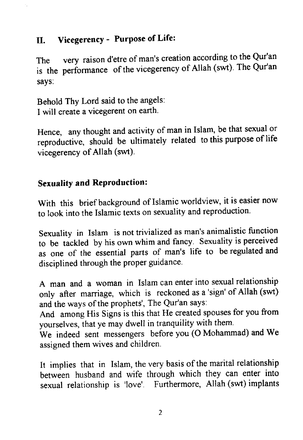#### II. VicegerencY - PurPose of Life: **II. Vicegerency - Purpose of Life:**

The very raison d'etre of man's creation according to the Qur'an The very raison d'etre of man's creation according to the Qur'an is the performance of the vicegerency of Allah (swt). The Qur'an says: says:

Behold Thy Lord said to the angels: Behold Thy Lord said to the angels: I will create a vicegerent on earth. I will create a vicegerent on earth.

Hence, any thought and activity of man in Islam, be that sexual or Hence, any thought and activity of man in Islam, be that sexual or reproductive, should be ultimately related to this purpose of life vicegerency of Allah (swt).

#### Sexualify and ReProduction: **Sexuality and Reproduction:**

With this brief background of Islamic worldview, it is easier now to look into the Islamic texts on sexuality and reproduction. to look into the Islamic texts on sexuality and reproduction.

Sexuality in Islam is not trivialized as man's animalistic function Sexuality in Islam is not trivialized as man's animalistic function to be tackled by his own whim and fancy. Sexuality is perceived to be tackled by his own whim and fancy. Sexuality is perceived as one of the essential parts of man's life to be regulated and as one of the essential parts of man's life to be regulated and disciplined through the proper guidance. disciplined through the proper guidance.

A man and a woman in Islam can enter into sexual relationship A man and a woman in Islam can enter into sexual relationship only after marriage, which is reckoned as a 'sign' of Allah (swt) only after marriage, which is reckoned as a 'sign' of Allah (swt) and the ways of the prophets', The Qur'an says:

And among His Signs is this that He created spouses for you from And among His Signs is this that He created spouses for you from yourselves, that ye may dwell in tranquility with them. yourselves, that ye may dwell in tranquility with them.

We indeed sent messengers before you (O Mohammad) and We We indeed sent messengers before you (0 Mohammad) and We assigned them wives and children. assigned them wives and children.

It implies that in Islam, the very basis of the marital relationship It implies that in Islam, the very basis ofthe marital relationship between husband and wife through which they can enter into between husband and wife through which they can enter into sexual relationship is 'love'. Furthermore, Allah (swt) implants sexual relationship is 'love'. Furthermore, Allah (swt) implants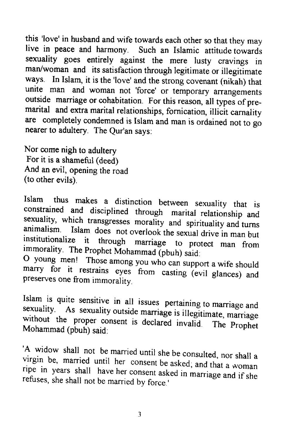this 'love' in husband and wife towards each other so that they may this 'love' in husband and wife towards each other so that they may live in peace and harmony. such an Islamic attitude towards live in peace and harmony. Such an Islamic attitude towards sexuality goes entirely against the mere lusty cravings in sexuality goes entirely against the mere lusty cravings in man/woman and its satisfaction through legitimate or illegitimate man/woman and its satisfaction through legitimate or illegitimate ways. In Islam, it is the'love' and the strong covenant (nikah) that ways. In Islam, it is the 'love' and the strong covenant (nikah) that unite man and woman not 'force' or temporary arrangements unite man and woman not 'force' or temporary arrangements outside marriage or cohabitation. For this reason, all types of premarital and extra marital relationships, fornication, illicit carnality are completely condemned is Islam and man is ordained not to go nearer to adultery. The Qur'an says:

Nor come nigh to adultery Nor come nigh to adultery For it is a shameful (deed) For it is <sup>a</sup> shameful (deed) And an evil, opening the road And an evil, opening the road (to other evils). (to other evils).

Islam thus makes a distinction between sexuality that is<br>constrained and disciplined through marital relationship and<br>sexuality, which transgresses morality and spirituality and turns<br>animalism. Islam does not overlook the Islam thus makes <sup>a</sup> distinction between sexuality that is constrained and disciplined through marital relationship and sexuality, which transgresses morality and spirituality and turns animalism. Islam does not overlook the sexual drive in man but institutionalize it through marriage to protect man from immorality. The Prophet Mohammad (pbuh) said:

O young men! Those among you who can support a wife should marry for it restrains eyes from casting (evil glances) and marry for it restrains eyes from casting (evil glances) and preserves one from immorality. preserves one from immorality.

Islam is quite sensitive in all issues pertaining to marriage and sexuality. As sexuality outside marriage is illegitimate, marriage without the proper consent is declared invalid. The Prophet Mohammad (pbuh) said: Islam is quite sensitive in all issues pertaining to marriage and sexuality. As sexuality outside marriage is illegitimate, marriage without the proper consent is declared invalid. The Prophet Mohammad (pbuh) said:

A widow shall not be married until she be consulted, nor shall a<br>virgin be, married until her consent be asked; and that a woman<br>ripe in years shall have her consent asked in marriage and if she<br>refuses, she shall not be m virgin be, married until her consent be asked; and that <sup>a</sup> woman ripe in years shall have her consent asked in marriage and ifshe refuses, she shall not be married by force.'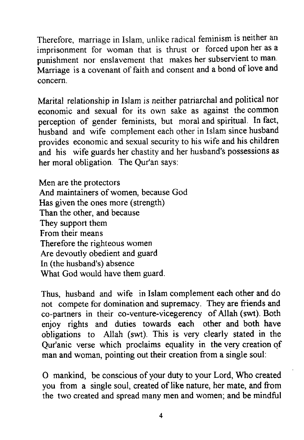Therefore, marriage in Islam, unlike radical feminism is neither an Therefore, marriage in Islam, unlike radical feminism is neither an imprisonment for woman that is thrust or forced upon her as a imprisonment for woman that is thrust or forced upon her as a punishment nor enslavement that makes her subservient to man. Marriage is a covenant of faith and consent and a bond of love and Marriage is a covenant offaith and consent and a bond oflove and concern. concern.

Marital relationship in Islam is neither patnarchal and political nor Marital relationship in Islam is neither patriarchal and political nor economic and sexual for its own sake as against the common economic and sexual for its own sake as against the common perception of gender feminists, but moral and spiritual' In fact, perception of gender feminists, but moral and spiritual. In fact, husband and wife complement each other in Islam since husband husband and wife complement each other in Islam since husband provides economic and sexual security to his wife and his children provides economic and sexual security to his wife and his children and his wife guards her chastity and her husband's possessions as and his wife guards her chastity and her husband's possessions as her moral obligation The Qur'an says: her moral obligation. The Qur'an says:

Men are the protectors Men are the protectors And maintainers of women, because God And maintainers ofwomen, because God Has given the ones more (strength) Has given the ones more (strength) Than the other, and because Than the other, and because They support them They support them From their means From their means Therefore the righteous women Therefore the righteous women Are devoutly obedient and guard Are devoutly obedient and guard In (the husband's) absence In (the husband's) absence What God would have them guard. What God would have them guard.

Thus, husband and wife in Islam complement each other and do Thus, husband and wife in Islam complement each other and do not compete for domination and supremacy. They are friends and not compete for domination and supremacy. They are friends and co-partners in their co-venture-vicegerency of Allah(swt). Both co-partners in their co-venture-vicegerency of Allah (8wt). Both enjoy rights and duties towards each other and both have enjoy rights and duties towards each other and both have obligations to Allah (swt). This is very clearly stated in the obligations to Allah (swt). This is very clearly stated in the Qur'anic verse which proclaims equality in the very creation of Qur'anic verse which proclaims equality in the very creation qf man and woman, pointing out their creation from a single soul:

O mankind, be conscious of your duty to your Lord, Who created o mankind, be conscious of your duty to your Lord, Who created you from a single soul, created of like nature, her mate, and from the two created and spread many men and women; and be mindful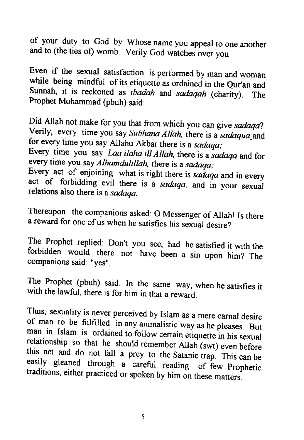of your duty to God by Whose name you appeal to one another and to (the ties of) womb. Verily God watches over you. and to (the ties ot) womb. Verily God watches over you.

Even if the sexual satisfaction is performed by man and woman while being mindful of its etiquette as ordained in the Qur'an and Sunnah, it is reckoned as *ibadah* and *sadaqah* (charity). The Prophet Mohammad (pbuh) said: Even if the sexual satisfaction is performed by man and woman while being mindful of its etiquette as ordained in the Qur'an and Sunnah, it is reckoned as *ibadah* and *sadaqah* (charity). The Prophet Mohammad (pbuh) said:

Did Allah not make for you that from which you can give *sadaqa*?<br>Verily, every time you say *Subhana Allah*, there is a *sadaqua\_and* for every time you say Allahu Akbar there is a *sadaqa*; Did Allah not make for you that from which you can <sup>g</sup>ive *sadaqa?*

Every time you say *Laa ilaha ill Allah*, there is a *sadaqa* and for every time you say *Alhamdulillah*, there is a *sadaqa*;

Every act of enjoining what is right there is *sadaqa* and in every act of forbidding evil there is a *sadaqa*, and in your sexual relations also there is a *sadaqa*. Every act of enjoining what is right there is *sadaqa* and in every relations also there is <sup>a</sup> *sadaqa.*

Thereupon the companions asked: O Messenger of Allah! Is there a reward for one of us when he satisfies his sexual desire? <sup>a</sup> reward for one ofus when he satisfies his sexual desire?

The Prophet replied: Don't you see, had he satisfied it with the forbidden would there not have been a sin upon him? The companions said: "yes". The Prophet replied: Don't you see, had he satisfied it with the forbidden would there not have been <sup>a</sup> sin upon him? The companions said: "yes".

The Prophet (pbuh) said: In the same way, when he satisfies it with the lawful, there is for him in that a reward. with the lawful, there is for him in that <sup>a</sup> reward.

Thus, sexuality is never perceived by Islam as a mere carnal desire<br>of man to be fulfilled in any animalistic way as he pleases. But<br>man in Islam is ordained to follow certain etiquette in his sexual<br>relationship so that h traditions, either practiced or spoken by him on these matters. Thus, sexuality is never perceived by Islam as <sup>a</sup> mere carnal desire of man to be fulfilled in any animalistic way as he <sup>p</sup>leases. But man in Islam is ordained to follow certain etiquette in his sexual relationship so that he should remember Allah (swt) even before this act and do not fall <sup>a</sup> prey to the Satanic trap. This can be easily <sup>g</sup>leaned through <sup>a</sup> careful reading of few Prophetic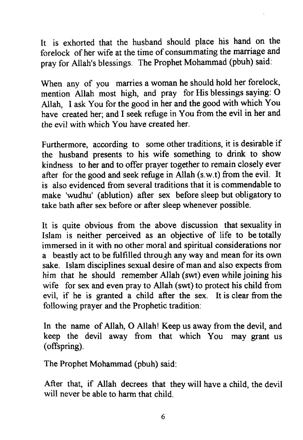It is exhorted that the husband should place his hand on the It is exhorted that the husband should place his hand on the forelock of her wife at the time of consummating the marriage and pray for Allah's blessings. The Prophet Mohammad (pbuh) said: pray for Allah's blessings. The Prophet Mohammad (pbuh) said:

When any of you marries a woman he should hold her forelock, mention Allah most high, and pray for His blessings saying: O mention Allah most high, and pray for His blessings saying: 0 Allah, I ask You for the good in her and the good with which You Allah, I ask You for the good in her and the good with which You have created her; and I seek refuge in You from the evil in her and have created her; and I seek refuge in You from the evil in her and the evil with which You have created her. the evil with which You have created her.

Furthermore, according to some other traditions, it is desirable if Furthermore, according to some other traditions, it is desirable if the husband presents to his wife something to drink to show the husband presents to his wife something to drink to show kindness to her and to offer prayer together to remain closely ever kindness to her and to offer prayer together to remain closely ever after for the good and seek refuge in Allah (s.w.t) from the evil. It after for the good and seek refuge in Allah (s.w.t) from the evil. It is also evidenced from several traditions that it is commendable to is also evidenced from several traditions that it is commendable to make 'wudhu' (ablution) after sex before sleep but obligatory to make 'wudhu' (ablution) after sex before sleep but obligatory to take bath after sex before or after sleep whenever possible. take bath after sex before or after sleep whenever possible.

It is quite obvious from the above discussion that sexuality in Islam is neither perceived as an objective of life to be totally Islam is neither perceived as an objective of life to be totally immersed in it with no other moral and spiritual considerations nor immersed in it with no other moral and spiritual considerations nor a beastly act to be fulfilled through any way and mean for its own sake. Islam disciplines sexual desire of man and also expects from sake. Islam disciplines sexual desire of man and also expects from him that he should remember Allah (swt) even while joining his him that he should remember Allah (swt) even while joining his wife for sex and even pray to Allah (swt) to protect his child from evil, if he is granted a child after the sex. It is clear from the evil, if he is granted a child after the sex. It is clear from the following prayer and the Prophetic tradition: following prayer and the Prophetic tradition:

In the name of Allah, O Allah! Keep us away from the devil, and In the name of Allah, 0 Allah! Keep us away from the devil, and keep the devil away from that which You may grant us keep the devil away from that which You may grant us (offspring). (offspring).

The Prophet Mohammad (pbuh) said: The Prophet Mohammad (pbuh) said:

After that, if Allah decrees that they will have a child, the devil After that, if Allah decrees that they will have a child, the devil will never be able to harm that child. will never be able to harm that child.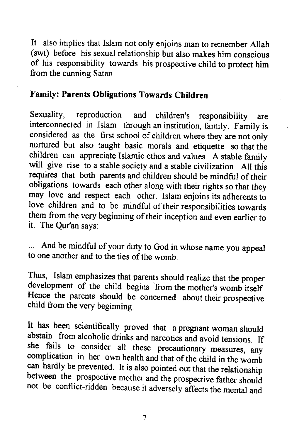It also implies that Islam not only enjoins man to remember Allah (swt) before his sexual relationship but also makes him conscious (swt) before his sexual relationship but also makes him conscious of his responsibility towards his prospective chird to protect him of his responsibility towards his prospective child to protect him from the cunning Satan. from the cunning Satan.

#### Family: Parents Obligations Towards Children **Family: Parents Obligations Towards Children**

sexuality, reproduction and children's responsibility are Sexuality, reproduction and children's responsibility are interconnected in Islam through an institution, family. Family is interconnected in Islam through an institution, family. Family is considered as the frrst school of children where they are not only considered as the first school of children where they are not only nurtured but also taught basic morals and etiquette so that the nurtured but also taught basic morals and etiquette so that the children can appreciate Islamic ethos and values. A stable family will give rise to a stable society and a stable civilization. All this will give rise to a stable society and a stable civilization. All this requires that both parents and children should be mindful of their requires that both parents and children should be mindful oftheir obligations towards each other along with their rights so that they obligations towards each other along with their rights so that they may love and respect each other. Islam enjoins its adherents to may love and respect each other. Islam enjoins its adherents to love children and to be mindful of their responsibilities towards love children and to be mindful oftheir responsibilities towards them from the very beginning of their inception and even earlier to them from the very beginning oftheir inception and even earlier to it. The Qur'an says: it. The Qur'an says:

And be mindful of your duty to God in whose name you appeal And be mindful of your duty to God in whose name you appeal to one another and to the ties of the womb.

Thus, Islam emphasizes that parents should realize that the proper development of the child begins 'from the mother's womb itself. development of the child begins 'from the mother's womb itself Hence the parents should be concerned about their prospective child from the very beginning. child from the very beginning.

It has been scientifically proved that a pregnant woman should abstain from alcoholic drinks and narcotics and avoid tensions. If<br>she fails to consider all these precautionary measures, any<br>complication in her own health and that of the child in the womb can hardly be prevented. It is also pointed out that the relationship complication in her own health and that of the child in the womb between the prospective mother and the prospective father should between the prospective mother and the prospective father should<br>not be conflict-ridden because it adversely affects the mental and abstain from alcoholic drinks and narcotics and avoid tensions. If she fails to consider all these precautionary measures, any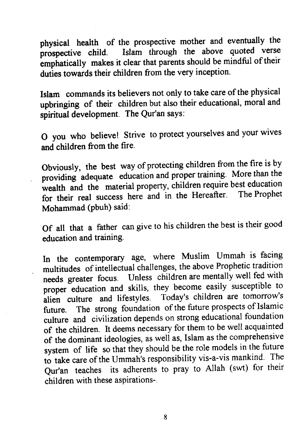physical heatth of the prospective mother and eventually the <sup>p</sup>hysical health of the prospective mother and eventually the prospective child. Islam through the above quoted verse prospective child. Islam through the above quoted verse emphatically makes it clear that parents should be mindful of their duties towards their children from the very inception.

Islam commands its believers not only to take care of the physical Islam commands its believers not only to take care ofthe <sup>p</sup>hysical upbringing of their children but also their educational, moral and upbringing of their children but also their educational, moral and spiritual development. The Qur'an says: spiritual development. The Qur'an says:

O you who believe! Strive to protect yourselves and your wives and children from the fire. and children from the fire.

Obviously, the best way of protecting children from the fire is by providing adequate education and proper training. More than the wealth and the material property, children require best education<br>wealth and the material property, children require best education for their real success heie ind in the Hereafter. The Prophet for their real success here and in the Hereafter. The Prophet Mohammad (Pbuh) said: Mohammad (pbuh) said:

Of all that a father can give to his children the best is their good Of all that <sup>a</sup> father can <sup>g</sup>ive to his children the best is their goo<sup>d</sup> education and training-education and training.

In the contemporary age, where Muslim Ummah is facing multitudes of intellectual challenges, the above Prophetic tradition multitudes ofintellectual challenges, the above Prophetic tradition needs greater focus. Unless children are mentally well fed with proper"education and skills, they become easily susceptible to proper education and skills, they become easily susceptible to alien culture and lifestyles. Today's children are tomorrow's alien culture and lifestyles. Today's children are tomorrow's future. The strong foundation of the future prospects of Islamic culture and civilization depends on strong educational foundation culture and civilization depends on strong educational foundation of the children. It deems necessary for them to be well acquainted of the children. It deems necessary for them to be well acquainted of the dominant ideologies, as well as, Islam as the comprehensive of the dominant ideologies, as well as, Islam as the comprehensive system of life so that they should be the role models in the future to take care of the Ummah's responsibility vis-a-vis mankind' The to take care ofthe Ummah's responsibility vis-a-vis mankind. The Qu/an teaches its adherents to pray to Allah (sovt) for their Qur'an teaches its adherents to pray to Allah (swt) for their children with these aspirations-' children with these aspirations-.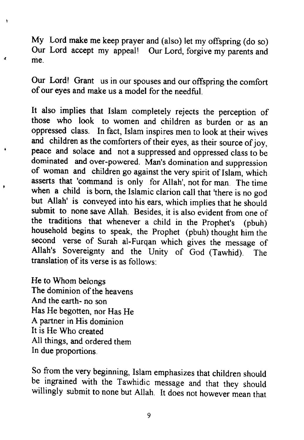My Lord make me keep prayer and (also) let my offspring (do so) My Lord make me keep prayer and (also) let my offspring (do so) Our Lord accept my appeal! Our Lord, forgive my parents and Our Lord accept my appeal! Our Lord, forgive my parents and me. me.

our Lordl Grant us in our spouses and our offspring the comfort Our Lord! Grant us in our spouses and our offspring the comfort of our eyes and make us a model for the needful. of our eyes and make us a model for the needful.

It also implies that Islam completely rejects the perception of those who look to women and children as burden or as an those who look to women and children as burden or as an oppressed class. In fact, Islam inspires men to look at their wives oppressed class. In fact, Islam inspires men to look at their wives and children as the comforters of their eyes, as their source of joy, peace and solace and not a suppressed and oppressed class to be peace and solace and not a suppressed and oppressed class to be dominated and over-powered. Man's domination and suppression dominated and over-powered. Man's domination and suppression of woman and children go against the very spirit of Islam, which asserts that 'command is only for Allah', not for man. The time asserts that 'command is only for Allah', not for man. The time when a child is born, the Islamic clarion call that 'there is no god but Allah' is conveyed into his ears, which implies that he should but Allah' is conveyed into his ears, which implies that he should submit to none save Allah. Besides, it is also evident from one of the traditions that whenever a child in the prophet's (pbuh) the traditions that whenever a child in the Prophet's (pbuh) household begins to speak, the Prophet (pbuh) thought him the second verse of Surah al-Furqan which gives the message of Allah's Sovereignty and the Unity of God (Tawhid). The Allah's Sovereignty and the Unity of God (Tawhid). The translation of its verse is as follows:

He to Whom belongs He to Whom belongs The dominion of the heavens And the earth- no son And the earth- no son Has He begotten, nor Has He Has He begotten, nor Has He A partner in His dominion A partner in His dominion It is He Who created It is He Who created All things, and ordered them All things, and ordered them In due proportions. In due proportions.

 $\ddot{r}$ 

so from the very beginning, Islam emphasizes that children should So from the very beginning, Islam emphasizes that children should be ingrained with the Tawhidic message and that they should be ingrained with the Tawhidic message and that they should willingly submit to none but Allah. It does not however mean that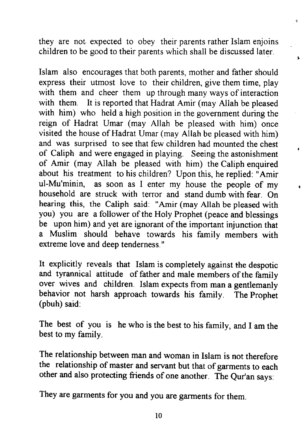they are not. expected to obey their parents rather Islam enjoins they are not expected to obey their parents rather Islam enjoins children to be good to their parents which shall be discussed later. children to be good to their parents which shall be discussed later.

 $\overline{1}$ 

Islam also encourages that both parents, mother and father should Islam also encourages that both parents, mother and father should express their utmost love to their children, give them time, play express their utmost love to their children, give them time, play with them and cheer them up through many ways of interaction with them. It is reported that Hadrat Amir (may Allah be pleased with him) who held a high position in the government during the reign of Hadrat Umar (may Allah be pleased with him) once reign of Hadrat Umar (may Allah be pleased with him) once visited the house of Hadrat Umar (may Allah be pleased with him) and was surprised to see that few children had mounted the chest and was surprised to see that few children had mounted the chest of Caliph and were engaged in playing. Seeing the astonishment of Caliph and were engaged in playing. Seeing the astonishment of Amir (may Allah be pleased with him) the Caliph enquired of Amir (may Allah be pleased with him) the Caliph enquired about his treatment to his children? Upon this, he replied: "Amir about his treatment to his children? Upon this, he replied: "Amir ul-Mu'minin, as soon as I enter my house the people of my ul-Mu'minin, as soon as I enter my house the people of my household are struck with terror and stand dumb with fear. On household are struck with terror and stand dumb with fear. On hearing this, the Caliph said: "Amir (may Allah be pleased with hearing this, the Caliph said: "Amir (may Allah be pleased with you) you are a follower of the Holy Prophet (peace and blessings you) you are a follower ofthe Holy Prophet (peace and blessings be upon him) and yet are ignorant of the important injunction that be upon him) and yet are ignorant ofthe important injunction that a Muslim should behave towards his familv members with a Muslim should behave towards his family members with extreme love and deep tenderness. " extreme love and deep tenderness. "

It explicitly reveals that Islam is completely against the despotic It explicitly reveals that Islam is completely against the despotic and tyrannical attitude of father and male members of the family and tyrannical attitude offather and male members ofthe family over wives and children. Islam expects from man a gentlemanly over wives and children. Islam expects from man a gentlemanly behavior not harsh approach towards his family. The prophet behavior not harsh approach towards his family. The Prophet (pbuh) said: (pbuh) said:

The best of you is he who is the best to his family, and I am the The best of you is he who is the best to his family, and I am the best to my family. best to my family.

The relationship between man and woman in Islam is not therefore The relationship between man and woman in Islam is not therefore the relationship of master and servant but that of garments to each the relationship of master and servant but that of garments to each other and also protecting friends of one another. The Qur'an says:

They are garments for you and you are garments for them. They are garments for you and you are garments for them.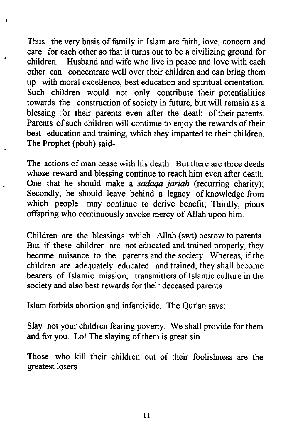Thus the very basis of family in Islam are faith, love, concern and Thus the very basis offamily in Islam are faith, love, concern and care for each other so that it turns out to be a civilizing ground for care for each other so that it turns out to be a civilizing ground for children. Husband and wife who live in peace and love with each children. Husband and wife who live in peace and love with each other can concentrate well over their children and can bring them other can concentrate well over their children and can bring them up with moral excellence, best education and spiritual orientation. up with moral excellence, best education and spiritual orientation. Such children would not only contribute their potentialities Such children would not only contribute their potentialities towards the construction of society in future, but will remain as a blessing for their parents even after the death of their parents. Parents of such children will continue to enjoy the rewards of their best education and training, which they imparted to their children. best education and training, which they imparted to their children. The Prophet (pbuh) said-. The Prophet (pbuh) said-.

¥

 $\cdot$ 

The actions of man cease with his death. But there are three deeds whose reward and blessing continue to reach him even after death. whose reward and blessing continue to reach him even after death. One that he should make a sadaqa jariah (recurring charity); One that he should make a *sadaqa jariah* (recurring charity); Secondly, he should leave behind a legacy of knowledge from Secondly, he should leave behind a legacy of knowledge from which people may continue to derive benefit; Thirdly, pious which people may continue to derive benefit; Thirdly, pious offspring who continuously invoke mercy of Allah upon him. offspring who continuously invoke mercy ofAllah upon him.

Children are the blessings which Allah (swt) bestow to parents. But if these children are not educated and trained properly, they But if these children are not educated and trained properly, they become nuisance to the parents and the society. Whereas, if the children are adequately educated and trained, they shall become children are adequately educated and trained, they shall become bearers of Islamic mission, transmitters of Islamic culture in the society and also best rewards for their deceased parents. society and also best rewards for their deceased parents.

Islam forbids abortion and infanticide. The Qur'an says. Islam forbids abortion and infanticide. The Qur'an says:

Slay not your children fearing poverty. We shall provide for them Slay not your children fearing poverty. We shall provide for them and for you. Lo! The slaying of them is great sin. and for you. Lo! The slaying ofthem is great sin.

Those who kill their children out of their foolishness are the Those who kill their children out of their foolishness are the greatest losers. greatest losers.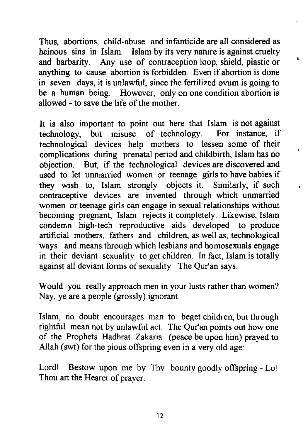Thus, abortions, child-abuse and infanticide are all considered as Thus, abortions, child-abuse and infanticide are all considered as heinous sins in Isiam. Islam by its very nature is against cruelty heinous sins in lsiam. Islam by its very nature is against cruelty and barbarity. Any use of contraception loop, shield, plastic or and barbarity. Any use of contraception loop, shield, plastic or anything to cause abortion is forbidden. Even if abortion is done anything to cause abortion is forbidden. Even if abortion is done in seven days, it is unlawful, since the fertilized ovum is going to in seven days, it is unlawful, since the fertilized ovum is going to be a human being. However, only on one condition abortion is be a human being. However, only on one condition abortion is allowed - to save the life of the mother.

 $\mathbf{r}$ 

It is also important to point out here that Islam is not against It is also important to point out here that Islam is not against technology, but misuse of technology. For instance, if technology, but misuse of technology. For instance, if technological devices help mothers to lessen some of their technological devices help mothers to lessen some of their complications during prenatal period and childbirth, Islam has no objection. But, if the technological devices are discovered and objection. But, if the technological devices are discovered and used to let unmarried women or teenage girls to have babies if used to let unmarried women or teenage girls to have babies if they wish to, Islam strongly objects it. Similarly, if such they wish to, Islam strongly objects it. Similarly, if such contraceptive devices are invented through which unmarried contraceptive devices are invented through which unmarried women or teenage girls can engage in sexual relationships without women or teenage girls can engage in sexual relationships without becoming pregnant, Islam rejects it completely. Likewise, Islam becoming pregnant, Islam rejects it completely. Likewise, Islam conderr.n high-tech reproductive aids developed to produce condemn high-tech reproductive aids developed to produce artificial mothers, fathers and children, as well as, technological artificial mothers, fathers and children, as well as, technological way\$ and means through which lesbians and homosexuals engage ways and means through which lesbians and homosexuals engage in their deviant sexuality to get children. In fact, Islam is totally in their deviant sexuality to get children. In fact, Islam is totally against all deviant forms of sexuality. The Qur'an says: against all deviant forms ofsexuality. The Qur'an says:

Would you really approach men in your lusts rather than women? Would you really approach men in your lusts rather than women? Nay, ye are a people (grossly) ignorant. Nay, ye are a people (grossly) ignorant.

Islam, no doubt encourages man to beget children, but through Islam, no doubt encourages man to beget children, but through rightful mean not by unlawful act. The Qur'an points out how one of the Prophets Hadhrat Zakaria (peace be upon him) prayed to Allah (swt) for the pious offspring even in a very old age: Allah (swt) for the pious offspring even in a very old age:

Lord! Bestow upon me by Thy bounty goodly offspring - Lo Thou art the Hearer of prayer. Thou art the Hearer of prayer.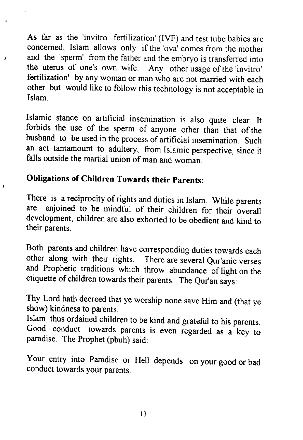As far as the 'invitro fertilization' (IVF) and test tube babies are As far as the 'invitro fertilization' (IYF) and test tube babies are concerned, Islam allows only if the 'ova' comes from the mother and the 'sperm' from the father and the embryo is transferred into and the 'sperm' from the father and the embryo is transferred into the uterus of one's own wife. Any other usage of the'invitro' the uterus of one's own wife. Any other usage ofthe 'invitro' fertilization' by any woman or man who are not married with each fertilization' by any woman or man who are not married with each other but would like to follow this technology is not acceptable in Islam. Islam.

Islamic stance on artificial insemination is also quite clear. It Islamic stance on artificial insemination is also quite clear. It forbids the use of the sperm of anyone other than that of the husband to be used in the process of artificial insemination. Such an act tantamount to adultery, from Islamic perspective, since it falls outside the martial union of man and woman.

#### Obligations of Children Towards their parents: **Obligations of Children Towards their Parents:**

There is a reciprocity of rights and duties in Islam. while parenrs There is a reciprocity ofrights and duties in Islam. While parents are enjoined to be mindful of their children for their overall are enjoined to be mindful of their children for their overall development, children are also exhorted to be obedient and kind to development, children are also exhorted to be obedient and kind to their parents. their parents.

Both parents and children have corresponding duties towards each Both parents and children have corresponding duties towards each other along with their rights. There are several Qur'anic verses and Prophetic traditions which throw abundance of light on the etiquette of children towards their parents. The Qur'an says:

Thy Lord hath decreed that ye worship none save Him and (that ye Thy Lord hath decreed that ye worship none save Him and (that ye show) kindness to parents. show) kindness to parents.

Islam thus ordained children to be kind and grateful to his parents. Islam thus ordained children to be kind and grateful to his parents. Good conduct towards parents is even regarded as a key to paradise. The Prophet (pbuh) said: paradise. The Prophet (pbuh) said:

Your entry into Paradise or Hell depends on your good or bad Your entry into Paradise or Hell depends on your good or bad conduct towards your parents. conduct towards your parents.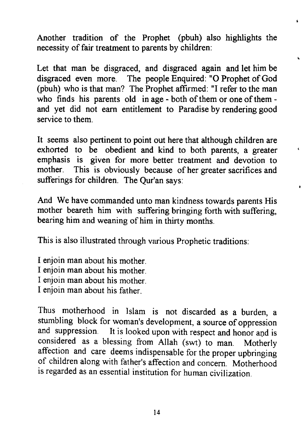Another tradition of the Prophet (pbuh) also highlights the Another tradition of the Prophet (pbuh) also highlights the necessity of fair treatment to parents by children:

 $\bullet$ 

Ĉ.

 $\epsilon$ 

Let that man be disgraced, and disgraced again and let him be Let that man be disgraced, and disgraced again and let him be disgraced even more. The people Enquired: "O Prophet of God (pbuh) who is that man? The Prophet affrrmed: "I refer to the man (pbuh) who is that man? The Prophet affirmed: "l refer to the man who finds his parents old in age - both of them or one of them and yet did not earn entitlement to Paradise by rendering good and yet did not earn entitlement to Paradise by rendering good service to them. service to them.

It seems also pertinent to point out here that although children are It seems also pertinent to point out here that although children are exhorted to be obedient and kind to both parents, a greater exhorted to be obedient and kind to both parents, a greater emphasis is given for more better treatment and devotion to emphasis is given for more better treatment and devotion to mother. This is obviously because of her greater sacrifices and mother. This is obviously because of her greater sacrifices and sufferings for children. The Qur'an says: sufferings for children. The Qur'an says:

And We have commanded unto man kindness towards parents His And We have commanded unto man kindness towards parents His mother beareth him with suffering bringing forth with suffering, mother beareth him with suffering bringing forth with suffering, bearing him and weaning of him in thirty months. bearing him and weaning of him in thirty months.

This is also illustrated through various Prophetic traditions:

I enjoin man about his mother. I enjoin man about his mother. I enjoin man about his mother. I enjoin man about his mother. I enjoin man about his mother. I enjoin man about his mother. I enjoin man about his father. I enjoin man about his father.

Thus motherhood in Islam is not discarded as a burden, a Thus motherhood in Islam is not discarded as a burden, a stumbling block for woman's development, a source of oppression stumbling block for woman's development, a source of oppression and suppression. It is looked upon with respect and honor and is considered as a blessing from Allah (swt) to man. Motherly considered as a blessing from Allah (swt) to man. Motherly affection and care deems indispensable for the proper upbringing affection and care deems indispensable for the proper upbringing of children along with father's affection and concern. Motherhood of children along with father's affection and concern. Motherhood is regarded as an essential institution for human civilization. is regarded as an essential institution for human civilization.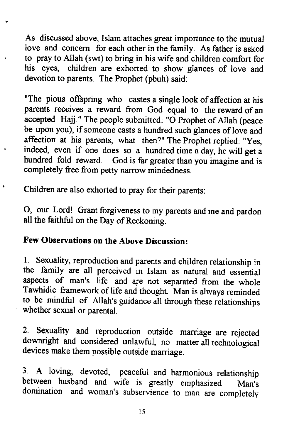As discussed above, Islam attaches great importance to the mutual As discussed above, Islam attaches great importance to the mutual love and concern for each other in the family. As father is asked to pray to Allah (swt) to bring in his wife and children comfort for his eyes, children are exhorted to show glances of love and his eyes, children are exhorted to show glances of love and devotion to parents. The Prophet (pbuh) said: devotion to parents. The Prophet (pbuh) said:

"The pious offspring who castes a single look of affection at his parents receives a reward from God equal to the reward of an parents receives a reward from God equal to the reward of an accepted Hajj." The people submitted: "O Prophet of Allah (peace be upon you), if someone casts a hundred such glances of love and affection at his parents, what then?" The Prophet replied: "Yes, indeed, even if one does so a hundred time a day, he will get a indeed, even if one does so a hundred time a day, he will get a hundred fold reward. God is far greater than you imagine and is hundred fold reward. God is far greater than you imagine and is completely free from petty narrow mindedness. completely free from petty narrow mindedness.

Children are also exhorted to pray for their parents; Children are also exhorted to pray for their parents:

 $\overline{\mathbf{L}}$ 

O, our Lord! Grant forgiveness to my parents and me and pardon 0, our Lord! Grant forgiveness to my parents and me and pardon all the faithful on the Day of Reckoning.

#### Few Observations on the Above Discussion: Few Observations on the Above Discussion:

1. Sexuality, reproduction and parents and children relationship in the family are all perceived in Islam as natural and essential the family are all perceived in Islam as natural and essential aspects of man's life and are not separated from the whole Tawhidic framework of life and thought. Man is always reminded Tawhidic framework oflife and thought. Man is always reminded to be mindful of Allah's guidance all through these relationships to be mindful of Allah's guidance all through these relationships whether sexual or parental. whether sexual or parental.

2 sexuality and reproduction outside marriage are rejected 2. Sexuality and reproduction outside marriage are rejected downright and considered unlawful, no matter all technological downright and considered unlawful, no matter all technological devices make them possible outside marriage. devices make them possible outside marriage.

<sup>I</sup>A loving, devoted, peaceful and harmonious relationship 3. A loving, devoted, peaceful and harmonious relationship between husband and wife is greatly emphasized. Man's domination and woman's subservience to man are completely domination and woman's subservience to man are completely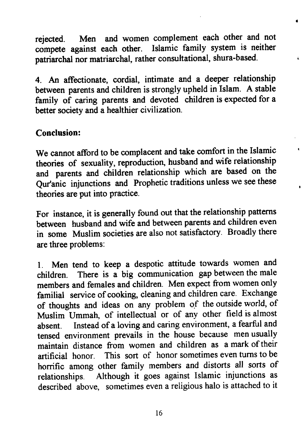rejected. Men and women complement each other and not rejected. Men and women complement each other and not compete against each other. Islamic family system is neither compete against each other. Islamic family system is neither patriarchal nor matriarchal, rather consultational, shura-based. patriarchal nor matriarchal, rather consultational, shura-based.

 $\bullet$ 

 $\epsilon$ 

4. An affectionate, cordial, intimate and a deeper relationship 4. An affectionate, cordial, intimate and a deeper relationship between parents and children is strongly upheld in Islam. A stable between parents and children is strongly upheld in Islam. A stable family of caring parents and devoted children is expected for a family of caring parents and devoted children is expected for a better society and a healthier civilization. better society and a healthier civilization.

#### Conclusion: **Conclusion:**

We cannot afficrd to be complacent and take comfort in the Islamic We cannot afford to be complacent and take comfort in the Islamic theories of sexuality, reproduction, husband and wife relationship and parents and children relationship which are based on the Qur'anic injunctions and Prophetic traditions unless we see these theories are put into Practice. theories are put into practice.

For instance, it is generally found out that the relationship patterns For instance, it is generally found out that the relationship patterns between husband and wife and between parents and children even in some Muslim societies are also not satisfactory. Broadly there in some Muslim societies are also not satisfactory. Broadly there are three problems: are three problems:

L Men tend to keep a despotic attitude towards women and 1. Men tend to keep a despotic attitude towards women and children. There is a big communication gap between the male children. There is a big communication gap between the male members and females and children. Men expect from women only members and females and children. Men expect from women only familial service of cooking, cleaning and children care. Exchange of thoughts and ideas on any problem of the outside world, of Muslim Ummah, of intellectual or of any other field is almost Muslim Ummah, of intellectual or of any other field is almost absent. Instead of a loving and caring environment, a fearful and absent. Instead of a loving and caring environment, a fearful and tensed environment prevails in the house because men usually tensed environment prevails in the house because men usually maintain distance from women and children as a mark of their maintain distance from women and children as a mark oftheir artificial honor. This sort of honor sometimes even turns to be artificial honor. This sort of honor sometimes even turns to be horrific among other family members and distorts all sorts of horrific among other family members and distorts all sorts of relationships. Although it goes against Islamic injunctions as relationships. Although it goes against Islamic injunctions as described above, sometimes even a religious halo is attached to it described above, sometimes even a religious halo is attached to it

l 6 16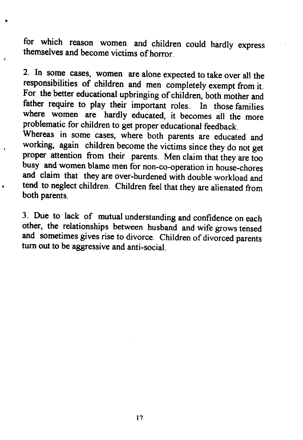for which reason women and children could hardly express themselves and become victims of horror. themselves and become victims ofhorror.

z- ln some cases, women are alone expected to take over all the 2. In some cases, women are alone expected to take over all the responsibilities of children and men completely exempt from it. responsibilities of children and men completely exempt from it. For the better educational upbringing of children, both mother and father require to play their important roles. In those families father require to play their important roles. In those families where women are hardly educated, it becomes all the more problematic for children to get proper educational feedback. problematic for children to get proper educational feedback.

whereas in some cases, where both parents are educated and Whereas in some cases, where both parents are educated and working, again children become the victims since they do not get working, again children become the victims since they do not get proper attention from their parents. Men claim that ihey are too proper attention from their parents. Men claim that they are too busy and women blame men for non-co-operation in house-chores busy and women blame men for non-eo-operation in house-chores and claim that they are over-burdened with double workload and and claim that they are over-burdened with double workload and tend to neglect children. Children feel that they are alienated from both parents. both parents.

3. Due to lack of mutual understanding and confidence on each 3. Due to lack of mutual understanding and confidence on each other, the relationships between husband and wife grows tensed and sometimes gives rise to divorce. Children of divorced parents turn out to be aggressive and anti-social. tum out to be aggressive and anti-social.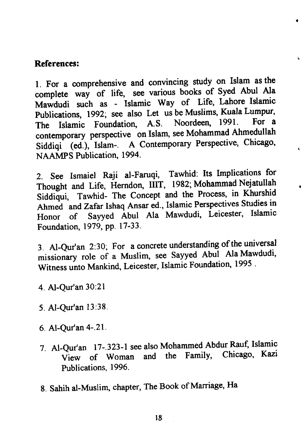#### References: References:

1. For a comprehensive and convincing study on Islam as the complete way of life, see various books of Syed Abul Ala Mawdudi such as - Islamic Way of Life, Lahore Islamic publications, 1992; see also Let us be Muslims, Kuala Lumpur, Publications, 1992; see also Let uS be Muslims, Kuala Lumpur, The Islamic Foundation, A.S. Noordeen, 1991. For a contemporary perspective on Islam, see Mohammad Ahmedullah siddiqi' (ed),'Islam-. A Contemporary Perspective, chicago, Siddiqi (ed.), Islam-. <sup>A</sup> Contemporary Perspective, Chicago, NAAMPS Publication, 1994.

÷

2,. see Ismaiel Raji al-Faruqi, Tawhid: Its Implications for 2. See Ismaiel Raji al-Faruqi, Tawhid: Its Implications for Thought and Life, Herndon, IIIT, 1982; Mohammad Nejatullah Siddiqui, Tawhid- The Concept and the Process, in Khurshid Ahmed andZafar Ishaq Ansar ed., Islamic Perspectives Studies in Ahmed and Zafar Ishaq Ansar ed., Islamic Perspectives Studies in Honor of Sayyed Abul Ala Mawdudi, Leicester, Islamic Foundation, 1979, PP. l 7-33. Foundation, 1979, pp. 17-33.

3. Al-Qur'an 2:30; For a concrete understanding of the universal missionary role of a Muslim, see Sayyed Abul Ala Mawdudi, Witness unto Mankind, Leicester, Islamic Foundation, 1995.

- 4. Al-Qur'an 30:21 4. Al-Qur'an 30:21
- 5. Al-Qur'an l3:38. 5. Al-Qur'an 13:38.
- 6. Al-Qur'an4-.21. 6. Al-Qur'an 4-.21.
- 7. Al-Qut'an l7-.3?3-l see also Mohammed Abdur Rauf, Islamic 7. Al-Quran 17-.323-1 see also Mohammed Abdur Rauf, Islamic View of Woman and the Family, Chicago, Kazi Publications, 1996. Publications, 1996.
- 8. Sahih al-Muslim, chapter, The Book of Marriage, Ha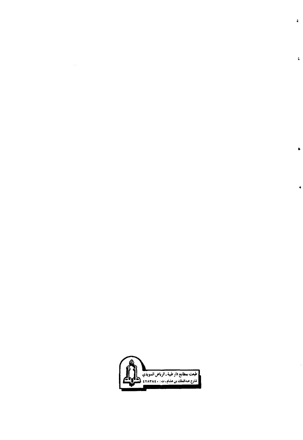

à.

ţ.

Ĺ

ä.